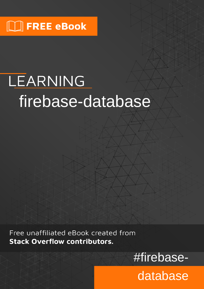# LEARNING firebase-database

Free unaffiliated eBook created from **Stack Overflow contributors.** 

#firebase-

database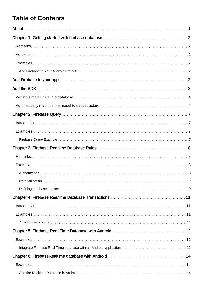## **Table of Contents**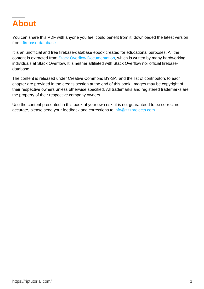<span id="page-3-0"></span>

You can share this PDF with anyone you feel could benefit from it, downloaded the latest version from: [firebase-database](http://riptutorial.com/ebook/firebase-database)

It is an unofficial and free firebase-database ebook created for educational purposes. All the content is extracted from [Stack Overflow Documentation](https://archive.org/details/documentation-dump.7z), which is written by many hardworking individuals at Stack Overflow. It is neither affiliated with Stack Overflow nor official firebasedatabase.

The content is released under Creative Commons BY-SA, and the list of contributors to each chapter are provided in the credits section at the end of this book. Images may be copyright of their respective owners unless otherwise specified. All trademarks and registered trademarks are the property of their respective company owners.

Use the content presented in this book at your own risk; it is not guaranteed to be correct nor accurate, please send your feedback and corrections to [info@zzzprojects.com](mailto:info@zzzprojects.com)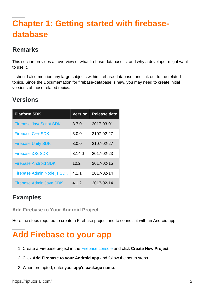## <span id="page-4-0"></span>**Chapter 1: Getting started with firebasedatabase**

## <span id="page-4-1"></span>**Remarks**

This section provides an overview of what firebase-database is, and why a developer might want to use it.

It should also mention any large subjects within firebase-database, and link out to the related topics. Since the Documentation for firebase-database is new, you may need to create initial versions of those related topics.

## <span id="page-4-2"></span>**Versions**

| <b>Platform SDK</b>            | <b>Version</b> | <b>Release date</b> |
|--------------------------------|----------------|---------------------|
| <b>Firebase JavaScript SDK</b> | 3.7.0          | 2017-03-01          |
| Firebase C++ SDK               | 3.0.0          | 2107-02-27          |
| <b>Firebase Unity SDK</b>      | 3.0.0          | 2107-02-27          |
| Firebase iOS SDK               | 3.14.0         | 2017-02-23          |
| <b>Firebase Android SDK</b>    | 10.2           | 2017-02-15          |
| Firebase Admin Node.js SDK     | 4.1.1          | 2017-02-14          |
| Firebase Admin Java SDK        | 4.1.2          | 2017-02-14          |

## <span id="page-4-3"></span>**Examples**

<span id="page-4-4"></span>**Add Firebase to Your Android Project**

<span id="page-4-5"></span>Here the steps required to create a Firebase project and to connect it with an Android app.

## **Add Firebase to your app**

- 1. Create a Firebase project in the [Firebase console](https://firebase.google.com/console/) and click **Create New Project**.
- 2. Click **Add Firebase to your Android app** and follow the setup steps.
- 3. When prompted, enter your **app's package name**.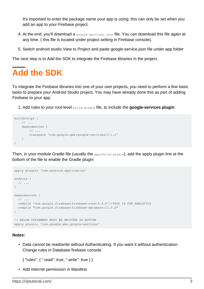It's important to enter the package name your app is using; this can only be set when you add an app to your Firebase project.

- At the end, you'll download a google-services.json file. You can download this file again at 4. any time. ( this file is located under project setting in Firebase console).
- 5. Switch android studio View to Project and paste google-service.json file under app folder

The next step is to Add the SDK to integrate the Firebase libraries in the project.

## <span id="page-5-0"></span>**Add the SDK**

To integrate the Firebase libraries into one of your own projects, you need to perform a few basic tasks to prepare your Android Studio project. You may have already done this as part of adding Firebase to your app.

1. Add rules to your root-level build.gradle file, to include the **google-services plugin**:

```
buildscript {
    \frac{1}{2}...
     dependencies {
          // ...
         classpath 'com.google.gms:google-services:3.1.1'
     }
}
```
Then, in your module Gradle file (usually the app/build.gradle), add the apply plugin line at the bottom of the file to enable the Gradle plugin:

```
apply plugin: 'com.android.application'
android {
  // \ldots\lambdadependencies {
  // ...
  compile 'com.google.firebase:firebase-core:9.4.0'//THIS IS FOR ANALYTICS
   compile "com.google.firebase:firebase-database:11.0.2"
}
// BELOW STATEMENT MUST BE WRITTEN IN BOTTOM
apply plugin: 'com.google.gms.google-services'
```
#### **Notes:**

• Data cannot be read/write without Authenticating. If you want it without authentication. Change rules in Database firebase console.

```
{ "rules": { ".read": true, ".write": true } }
```
• Add internet permission in Manifest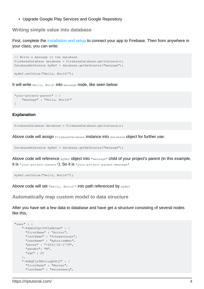• Upgrade Google Play Services and Google Repository

#### <span id="page-6-0"></span>**Writing simple value into database**

First, complete the [installation and setup](http://www.riptutorial.com/firebase-database/example/17719/add-firebase-to-your-android-project) to connect your app to Firebase. Then from anywhere in your class, you can write:

```
// Write a message to the database
FirebaseDatabase database = FirebaseDatabase.getInstance();
DatabaseReference myRef = database.getReference("message");
```
myRef.setValue("Hello, World!");

It will write Hello, Wold! into message node, like seen below:

```
"your-project-parent" : {
     "message" : "Hello, World!"
}
```
#### **Explanation**

FirebaseDatabase database = FirebaseDatabase.getInstance();

Above code will assign FirebaseDatabase instance into database object for further use.

DatabaseReference myRef = database.getReference("message");

Above code will reference  $m_{\text{NRef}}$  object into  $m_{\text{message}}$  child of your project's parent (in this example, it is "your-project-parent"). So it is "your-project-parent/message"

```
myRef.setValue("Hello, World!");
```
<span id="page-6-1"></span>Above code will set "Hello, World!" into path referenced by myRef

#### **Automatically map custom model to data structure**

After you have set a few data to database and have get a structure consisting of several nodes like this;

```
"user" : {
     "-KdbKcU2ptfYF2xKb5aO" : {
       "firstName" : "Arthur",
       "lastName" : "Schopenhauer",
       "userName" : "AphorismMan",
       "phone" : "+9022-02-1778",
       "gender": "M",
       "age" : 25
     },
     "-KdbQFjs9BDviuqQVHjY" : {
       "firstName" : "Werner",
       "lastName" : "Heisenberg",
```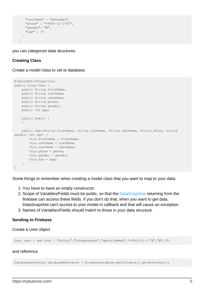```
 "userName" : "whereAmI",
     "phone" : "+9005-12-1901",
     "gender": "M",
     "age" : 75
   }
 }
```
you can categorize data structures.

#### **Creating Class**

Create a model class to set to database.

```
@IgnoreExtraProperties
public class User {
    public String firstName;
    public String lastName;
    public String userName;
    public String phone;
    public String gender;
    public int age;
    public User() {
 }
    public User(String firstName, String lastName, String userName, String phone, String
gender, int age) {
         this.firstName = firstName;
        this.lastName = lastName;
        this.userName = userName;
        this.phone = phone;
        this.gender = gender;
         this.age = age;
     }
}
```
Some things to remember when creating a model class that you want to map to your data:

- 1. You have to have an empty constructor
- 2. Scope of Variables/Fields must be public, so that the [DataSnapshot](https://firebase.google.com/docs/reference/js/firebase.database.DataSnapshot) returning from the firebase can access these fields. If you don't do that, when you want to get data, DataSnapshot can't access to your model in callback and that will cause an exception.
- 3. Names of Variables/Fields should match to those in your data structure.

#### **Sending to Firebase**

Create a User object

User user = new User ( "Arthur","Schopenhauer","AphorismMan","+9022-02-1778","M",25)

#### and reference

DatabaseReference databaseReference = FirebaseDatabase.getInstance().getReference();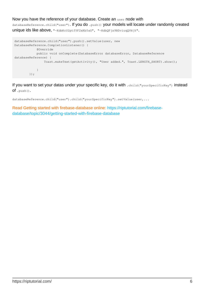#### Now you have the reference of your database. Create an user node with

databaseReference.child("user"). If you do .push() your models will locate under randomly created unique ids like above, "-KdbKcU2ptfYF2xKb5aO", "-KdbQFjs9BDviuqQVHjY".

```
databaseReference.child("user").push().setValue(user, new
DatabaseReference.CompletionListener() {
            @Override
           public void onComplete(DatabaseError databaseError, DatabaseReference
databaseReference) {
                Toast.makeText(getActivity(), "User added.", Toast.LENGTH_SHORT).show();
 }
        });
```
If you want to set your datas under your specific key, do it with .child("yourSpecificKey") instead  $of$ . push().

databaseReference.child("user").child("yourSpecificKey").setValue(user,...

Read Getting started with firebase-database online: [https://riptutorial.com/firebase](https://riptutorial.com/firebase-database/topic/3044/getting-started-with-firebase-database)[database/topic/3044/getting-started-with-firebase-database](https://riptutorial.com/firebase-database/topic/3044/getting-started-with-firebase-database)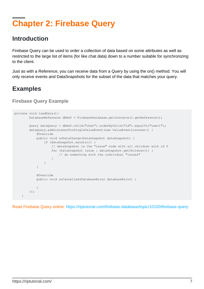## <span id="page-9-0"></span>**Chapter 2: Firebase Query**

## <span id="page-9-1"></span>**Introduction**

Firebase Query can be used to order a collection of data based on some attributes as well as restricted to the large list of items (for like chat data) down to a number suitable for synchronizing to the client.

Just as with a Reference, you can receive data from a Query by using the on() method. You will only receive events and DataSnapshots for the subset of the data that matches your query.

## <span id="page-9-2"></span>**Examples**

<span id="page-9-3"></span>**Firebase Query Example**

```
private void loadData(){
        DatabaseReference dbRef = FirebaseDatabase.getInstance().getReference();
        Query dataQuery = dbRef.child("chat").orderByChild("id").equalTo("user1");
        dataQuery.addListenerForSingleValueEvent(new ValueEventListener() {
            @Override
            public void onDataChange(DataSnapshot dataSnapshot) {
                if (dataSnapshot.exists()) {
                   // dataSnapshot is the "issue" node with all children with id 0
                   for (DataSnapshot issue : dataSnapshot.getChildren()) {
                       // do something with the individual "issues"
 }
 }
 }
            @Override
            public void onCancelled(DatabaseError databaseError) {
 }
        });
    }
```
Read Firebase Query online: <https://riptutorial.com/firebase-database/topic/10100/firebase-query>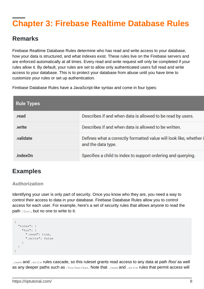## <span id="page-10-0"></span>**Chapter 3: Firebase Realtime Database Rules**

## <span id="page-10-1"></span>**Remarks**

Firebase Realtime Database Rules determine who has read and write access to your database, how your data is structured, and what indexes exist. These rules live on the Firebase servers and are enforced automatically at all times. Every read and write request will only be completed if your rules allow it. By default, your rules are set to allow only authenticated users full read and write access to your database. This is to protect your database from abuse until you have time to customize your rules or set up authentication.

Firebase Database Rules have a JavaScript-like syntax and come in four types:

| <b>Rule Types</b> |                                                                                          |
|-------------------|------------------------------------------------------------------------------------------|
| .read             | Describes if and when data is allowed to be read by users.                               |
| .write            | Describes if and when data is allowed to be written.                                     |
| .validate         | Defines what a correctly formatted value will look like, whether i<br>and the data type. |
| .indexOn          | Specifies a child to index to support ordering and querying.                             |

## <span id="page-10-2"></span>**Examples**

### <span id="page-10-3"></span>**Authorization**

Identifying your user is only part of security. Once you know who they are, you need a way to control their access to data in your database. Firebase Database Rules allow you to control access for each user. For example, here's a set of security rules that allows anyone to read the path  $/f\infty/$ , but no one to write to it:

```
{
   "rules": {
     "foo": {
       ".read": true,
        ".write": false
     }
   }
}
```
. read and . write rules cascade, so this ruleset grants read access to any data at path /foo/ as well as any deeper paths such as /foo/bar/baz. Note that . read and . write rules that permit access will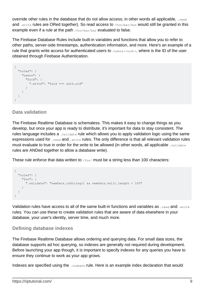override other rules in the database that do not allow access; in other words all applicable, . read and .write rules are ORed together). So read access to /foo/bar/baz would still be granted in this example even if a rule at the path /foo/bar/baz evaluated to false.

The Firebase Database Rules include built-in variables and functions that allow you to refer to other paths, server-side timestamps, authentication information, and more. Here's an example of a rule that grants write access for authenticated users to /users/<uid>/, where is the ID of the user obtained through Firebase Authentication.

```
{
   "rules": {
     "users": {
       "$uid": {
          ".write": "$uid === auth.uid"
       }
     }
   }
}
```
### <span id="page-11-0"></span>**Data validation**

The Firebase Realtime Database is schemaless. This makes it easy to change things as you develop, but once your app is ready to distribute, it's important for data to stay consistent. The rules language includes a . validate rule which allows you to apply validation logic using the same expressions used for .read and .write rules. The only difference is that all relevant validation rules must evaluate to true in order for the write to be allowed (in other words, all applicable .validate rules are ANDed together to allow a database write).

These rule enforce that data written to  $f_{\text{foo}}/$  must be a string less than 100 characters:

```
{
   "rules": {
     "foo": {
       ".validate": "newData.isString() && newData.val().length < 100"
     }
  }
}
```
Validation rules have access to all of the same built-in functions and variables as . read and . write rules. You can use these to create validation rules that are aware of data elsewhere in your database, your user's identity, server time, and much more.

### <span id="page-11-1"></span>**Defining database indexes**

The Firebase Realtime Database allows ordering and querying data. For small data sizes, the database supports ad hoc querying, so indexes are generally not required during development. Before launching your app though, it is important to specify indexes for any queries you have to ensure they continue to work as your app grows.

Indexes are specified using the . indexOn rule. Here is an example index declaration that would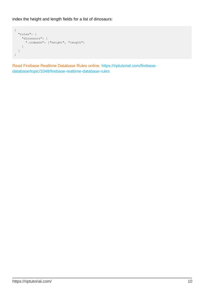index the height and length fields for a list of dinosaurs:

```
{
   "rules": {
    "dinosaurs": {
      ".indexOn": ["height", "length"]
    }
  }
}
```
Read Firebase Realtime Database Rules online: [https://riptutorial.com/firebase](https://riptutorial.com/firebase-database/topic/3348/firebase-realtime-database-rules)[database/topic/3348/firebase-realtime-database-rules](https://riptutorial.com/firebase-database/topic/3348/firebase-realtime-database-rules)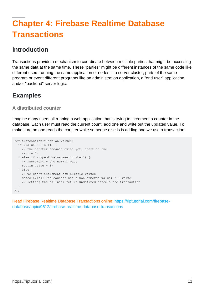## <span id="page-13-0"></span>**Chapter 4: Firebase Realtime Database Transactions**

## <span id="page-13-1"></span>**Introduction**

Transactions provide a mechanism to coordinate between multiple parties that might be accessing the same data at the same time. These "parties" might be different instances of the same code like different users running the same application or nodes in a server cluster, parts of the same program or event different programs like an administration application, a "end user" application and/or "backend" server logic.

## <span id="page-13-2"></span>**Examples**

### <span id="page-13-3"></span>**A distributed counter**

Imagine many users all running a web application that is trying to increment a counter in the database. Each user must read the current count, add one and write out the updated value. To make sure no one reads the counter while someone else is is adding one we use a transaction:

```
ref.transaction(function(value){
 if (value == null) {
    // the counter doesn't exist yet, start at one
    return 1;
   } else if (typeof value === 'number') {
     // increment - the normal case
    return value + 1;
   } else {
     // we can't increment non-numeric values
    console.log('The counter has a non-numeric value: ' + value)
     // letting the callback return undefined cancels the transaction
  }
});
```
Read Firebase Realtime Database Transactions online: [https://riptutorial.com/firebase](https://riptutorial.com/firebase-database/topic/9612/firebase-realtime-database-transactions)[database/topic/9612/firebase-realtime-database-transactions](https://riptutorial.com/firebase-database/topic/9612/firebase-realtime-database-transactions)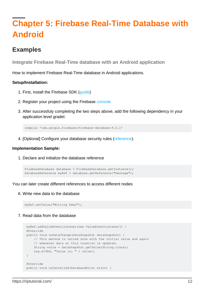## <span id="page-14-0"></span>**Chapter 5: Firebase Real-Time Database with Android**

## <span id="page-14-1"></span>**Examples**

<span id="page-14-2"></span>**Integrate Firebase Real-Time database with an Android application**

How to implement Firebase Real-Time database in Android applications.

### **Setup/Installation:**

- 1. First, install the Firebase SDK [\(guide](http://%20%20https://firebase.google.com/docs/android/setup))
- 2. Register your project using the Firebase [console](https://console.firebase.google.com/)
- 3. After successfuly completing the two steps above, add the following dependency in your application level gradel.

compile 'com.google.firebase:firebase-database:9.2.1'

4. [Optional] Configure your database security rules [\(reference](http://%20https://firebase.google.com/docs/database/security/quickstart#sample-rules)).

#### **Implementation Sample:**

1. Declare and initialize the database reference

```
FirebaseDatabase database = FirebaseDatabase.getInstance();
DatabaseReference myRef = database.getReference("message");
```
You can later create different references to access different nodes

Write new data to the database 6.

myRef.setValue("Writing Demo");

#### 7. Read data from the database

```
 myRef.addValueEventListener(new ValueEventListener() {
 @Override
 public void onDataChange(DataSnapshot dataSnapshot) {
     // This method is called once with the initial value and again
     // whenever data at this location is updated.
    String value = dataSnapshot.getValue(String.class);
     Log.d(TAG, "Value is: " + value);
 }
 @Override
 public void onCancelled(DatabaseError error) {
```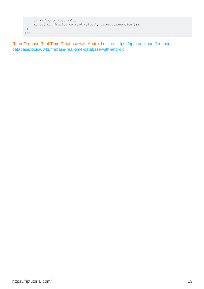```
 // Failed to read value
     Log.w(TAG, "Failed to read value.", error.toException());
 }
});
```
Read Firebase Real-Time Database with Android online: [https://riptutorial.com/firebase](https://riptutorial.com/firebase-database/topic/6341/firebase-real-time-database-with-android)[database/topic/6341/firebase-real-time-database-with-android](https://riptutorial.com/firebase-database/topic/6341/firebase-real-time-database-with-android)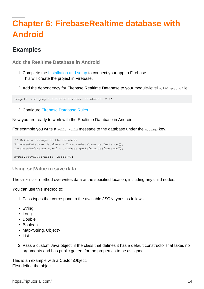## <span id="page-16-0"></span>**Chapter 6: FirebaseRealtime database with Android**

## <span id="page-16-1"></span>**Examples**

<span id="page-16-2"></span>**Add the Realtime Database in Android**

- 1. Complete the [Installation and setup](http://www.riptutorial.com/firebase-database/topic/3044/getting-started-with-firebase-database) to connect your app to Firebase. This will create the project in Firebase.
- 2. Add the dependency for Firebase Realtime Database to your module-level build.gradle file:

```
compile 'com.google.firebase:firebase-database:9.2.1'
```
3. Configure [Firebase Database Rules](http://www.riptutorial.com/firebase-database/topic/3348/firebase-realtime-database-rules)

Now you are ready to work with the Realtime Database in Android.

For example you write a Hello World message to the database under the message key.

```
// Write a message to the database
FirebaseDatabase database = FirebaseDatabase.getInstance();
DatabaseReference myRef = database.getReference("message");
myRef.setValue("Hello, World!");
```
<span id="page-16-3"></span>**Using setValue to save data**

ThesetValue() method overwrites data at the specified location, including any child nodes.

You can use this method to:

- 1. Pass types that correspond to the available JSON types as follows:
- String
- Long
- Double
- Boolean
- Map<String, Object>
- List
- 2. Pass a custom Java object, if the class that defines it has a default constructor that takes no arguments and has public getters for the properties to be assigned.

This is an example with a CustomObject. First define the object.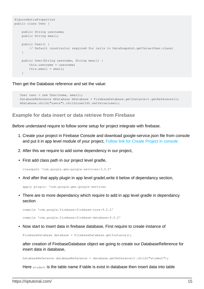```
@IgnoreExtraProperties
public class User {
     public String username;
    public String email;
     public User() {
         // Default constructor required for calls to DataSnapshot.getValue(User.class)
     }
     public User(String username, String email) {
         this.username = username;
         this.email = email;
     }
```
Then get the Database reference and set the value:

```
User user = new User(name, email);
DatabaseReference mDatabase mDatabase = FirebaseDatabase.getInstance().getReference();
 mDatabase.child("users").child(userId).setValue(user);
```
#### <span id="page-17-0"></span>**Example for data insert or data retrieve from Firebase**

Before understand require to follow some setup for project integrate with firebase.

- 1. Create your project in Firebase Console and download google-service.json file from console and put it in app level module of your project, [Follow link for Create Project in console](https://firebase.google.com/docs/android/setup)
- 2. After this we require to add some dependency in our project,
- First add class path in our project level gradle,

```
classpath 'com.google.gms:google-services:3.0.0'
```
• And after that apply plugin in app level gradel, write it below of dependancy section,

apply plugin: 'com.google.gms.google-services

• There are to more dependancy which require to add in app level gradle in dependancy section

compile 'com.google.firebase:firebase-core:9.0.2'

compile 'com.google.firebase:firebase-database:9.0.2'

• Now start to insert data in firebase database, First require to create instance of

FirebaseDatabase database = FirebaseDatabase.getInstance();

after creation of FirebaseDatabase object we going to create our DatabaseReference for insert data in database,

DatabaseReference databaseReference = database.getReference().child("student");

Here student is the table name if table is exist in database then insert data into table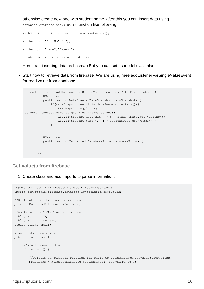otherwise create new one with student name, after this you can insert data using databaseReference.setValue(); function like following,

```
HashMap<String, String> student=new HashMap<>();
student.put("RollNo","1");
student.put("Name","Jayesh");
databaseReference.setValue(student);
```
Here I am inserting data as hasmap But you can set as model class also,

• Start how to retrieve data from firebase, We are using here addListenerForSingleValueEvent for read value from database,

```
senderRefrence.addListenerForSingleValueEvent(new ValueEventListener() {
          @Override
          public void onDataChange(DataSnapshot dataSnapshot) {
              if(dataSnapshot!=null && dataSnapshot.exists()){
                 HashMap<String, String>
studentData=dataSnapshot.getValue(HashMap.class);
                 Log.d("Student Roll Num "," : "+studentData.get("RollNo"));
                  Log.d("Student Name "," : "+studentData.get("Name"));
 }
           }
          @Override
          public void onCancelled(DatabaseError databaseError) {
 }
       });
```
### <span id="page-18-0"></span>**Get value/s from firebase**

1. Create class and add imports to parse information:

```
import com.google.firebase.database.FirebaseDatabase;
import com.google.firebase.database.IgnoreExtraProperties;
//Declaration of firebase references
private DatabaseReference mDatabase;
//Declaration of firebase atributtes
public String uID;
public String username;
public String email;
@IgnoreExtraProperties
public class User {
     //Default constructor
    public User() {
         //Default constructor required for calls to DataSnapshot.getValue(User.class)
        mDatabase = FirebaseDatabase.getInstance().getReference();
```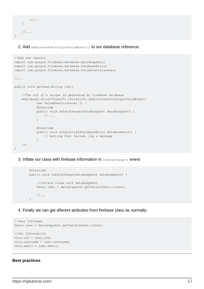```
1/\ldots }
      1/\ldots}
```
2. Add addListenerForSingleValueEvent () to our database reference:

```
//Add new imports
import com.google.firebase.database.DataSnapshot;
import com.google.firebase.database.DatabaseError;
import com.google.firebase.database.ValueEventListener;
1/\ldotspublic void getUser(String uID){
     //The uID it's unique id generated by firebase database
    mDatabase.child("users").child(uID).addListenerForSingleValueEvent(
            new ValueEventListener () {
            @Override
            public void onDataChange(DataSnapshot dataSnapshot) {
                 // ...
 }
            @Override
            public void onCancelled(DatabaseError databaseError) {
                // Getting Post failed, log a message
 }
    });
}
```
3. Inflate our class with firebase information in onDataChange() event:

```
 @Override
 public void onDataChange(DataSnapshot dataSnapshot) {
     //Inflate class with dataSnapShot
     Users user = dataSnapshot.getValue(Users.class);
    1/\ldots }
```
4. Finally we can get diferent atributtes from firebase class as normally:

```
//User inflated
Users user = dataSnapshot.getValue(Users.class);
//Get information
this.uID = user.uID;
this.username = user.username;
this.email = user.email;
```
#### **Best practices**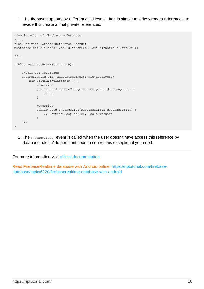1. The firebase supports 32 different child levels, then is simple to write wrong a references, to evade this create a final private references:

```
//Declaration of firebase references
1/\ldotsfinal private DatabaseReference userRef =
mDatabase.child("users").child("premium").child("normal").getRef();
1/\ldotspublic void getUser(String uID){
     //Call our reference
    userRef.child(uID).addListenerForSingleValueEvent(
        new ValueEventListener () {
            @Override
            public void onDataChange(DataSnapshot dataSnapshot) {
                // ...
 }
            @Override
             public void onCancelled(DatabaseError databaseError) {
                 // Getting Post failed, log a message
 }
     });
}
```
2. The  $\circ$ nCancelled() event is called when the user doesn't have access this reference by database rules. Add pertinent code to control this exception if you need.

For more information visit [official documentation](https://firebase.google.com/docs/database/android/start/)

Read FirebaseRealtime database with Android online: [https://riptutorial.com/firebase](https://riptutorial.com/firebase-database/topic/6220/firebaserealtime-database-with-android)[database/topic/6220/firebaserealtime-database-with-android](https://riptutorial.com/firebase-database/topic/6220/firebaserealtime-database-with-android)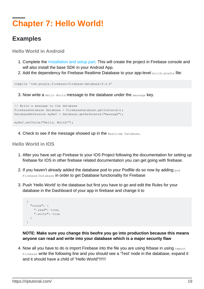## <span id="page-21-0"></span>**Chapter 7: Hello World!**

## <span id="page-21-1"></span>**Examples**

<span id="page-21-2"></span>**Hello World in Android**

- 1. Complete the [Installation and setup part](http://stackoverflow.com/documentation/firebase/816/introduction-to-firebase/2771/installation-or-setup#t=201607212346371035234). This will create the project in Firebase console and will also install the base SDK in your Android App.
- 2. Add the dependency for Firebase Realtime Database to your app-level build.gradle file:

compile 'com.google.firebase:firebase-database:9.4.0'

3. Now write a  $H$ <sub>Bello</sub> World message to the database under the message key.

```
// Write a message to the database
FirebaseDatabase database = FirebaseDatabase.getInstance():
DatabaseReference myRef = database.getReference("message");
```
myRef.setValue("Hello, World!");

4. Check to see if the message showed up in the Realtime Database.

### <span id="page-21-3"></span>**Hello World in IOS**

- 1. After you have set up Firebase to your IOS Project following the documentation for setting up firebase for IOS in other firebase related documentation you can get going with firebase.
- 2. If you haven't already added the database pod to your Podfile do so now by adding  $_{\text{pod}}$ Firebase/Database in order to get Database functionality for Firebase
- 3. Push 'Hello World' to the database but first you have to go and edit the Rules for your database in the Dashboard of your app in firebase and change it to

```
 {
   "rules": {
     ".read": true,
     ".write": true
   }
 }
```
**NOTE: Make sure you change this beofre you go into production because this means anyone can read and write into your database which is a major security flaw**

4. Now all you have to do is import Firebase into the file you are using firbase in using  $_{\rm import}$ Firebase write the following line and you should see a 'Test' node in the database, expand it and it should have a child of "Hello World"!!!!!!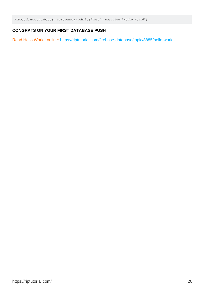FIRDatabase.database().reference().child("Test").setValue("Hello World")

### **CONGRATS ON YOUR FIRST DATABASE PUSH**

Read Hello World! online:<https://riptutorial.com/firebase-database/topic/8885/hello-world->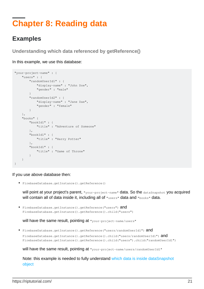## <span id="page-23-0"></span>**Chapter 8: Reading data**

## <span id="page-23-1"></span>**Examples**

<span id="page-23-2"></span>**Understanding which data referenced by getReference()**

In this example, we use this database:

```
"your-project-name" : {
     "users" : {
         "randomUserId1" : {
             "display-name" : "John Doe",
             "gender" : "male"
 }
         "randomUserId2" : {
             "display-name" : "Jane Dae",
              "gender" : "female"
         }
     },
     "books" {
         "bookId1" : {
             "title" : "Adventure of Someone"
         },
         "bookId1" : {
             "title" : "Harry Potter"
         },
         "bookId1" : {
             "title" : "Game of Throne"
         }
     }
}
```
If you use above database then:

FirebaseDatabase.getInstance().getReference() •

will point at your project's parent,  $v_{\text{your-project-name}}$  data. So the  $\text{data.napshot}$  you acquired will contain all of data inside it, including all of "users" data and "books" data.

**•** FirebaseDatabase.getInstance().getReference("users") and FirebaseDatabase.getInstance().getReference().child("users")

will have the same result, pointing at "your-project-name/users"

• FirebaseDatabase.getInstance().getReference("users/randomUserId1")  $\text{and}$ FirebaseDatabase.getInstance().getReference().child("users/randomUserId1") and FirebaseDatabase.getInstance().getReference().child("users").child("randomUserId1")

will have the same result, pointing at "your-project-name/users/randomUserId1"

Note: this example is needed to fully understand [which data is inside dataSnapshot](http://www.riptutorial.com/firebase-database/example/28682/understanding-which-data-is-inside-datasnapshot-object) [object](http://www.riptutorial.com/firebase-database/example/28682/understanding-which-data-is-inside-datasnapshot-object)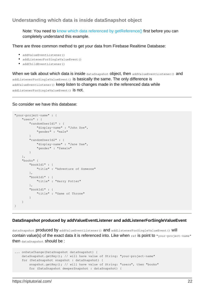<span id="page-24-0"></span>**Understanding which data is inside dataSnapshot object**

Note: You need to [know which data referenced by getReference\(\)](http://www.riptutorial.com/firebase-database/example/28681/understanding-which-data-referenced-by-getreference--) first before you can completely understand this example.

There are three common method to get your data from Firebase Realtime Database:

- addValueEventListener()
- addListenerForSingleValueEvent()
- addChildEventListener()

When we talk about which data is inside dataSnapshot object, then addValueEventListener() and addListenerForSingleValueEvent() is basically the same. The only difference is addValueEventListener() keep listen to changes made in the referenced data while addListenerForSingleValueEvent() is not.

#### So consider we have this database:

```
"your-project-name" : {
    "users" : {
        "randomUserId1" : {
             "display-name" : "John Doe",
             "gender" : "male"
 }
         "randomUserId2" : {
             "display-name" : "Jane Dae",
             "gender" : "female"
         }
     },
     "books" {
         "bookId1" : {
             "title" : "Adventure of Someone"
         },
         "bookId1" : {
            "title" : "Harry Potter"
         },
         "bookId1" : {
            "title" : "Game of Throne"
         }
     }
}
```
### **DataSnapshot produced by addValueEventListener and addListenerForSingleValueEvent**

dataSnapshot produced by addValueEventListener() and addListenerForSingleValueEvent() will contain value(s) of the exact data it is referenced into. Like when  $ref$  is point to "your-project-name" then dataSnapshot should be :

```
... onDataChange(DataSnapshot dataSnapshot) {
    dataSnapshot.getKey(); // will have value of String: "your-project-name"
    for (DataSnapshot snapshot : dataSnapshot) {
        snapshot.getKey(); // will have value of String: "users", then "books"
        for (DataSnapshot deeperSnapshot : dataSnapshot) {
```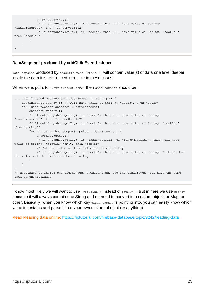```
snapshot.getKey();
             // if snapshot.getKey() is "users", this will have value of String:
"randomUserId1", then "randomUserId2"
            // If snapshot.getKey() is "books", this will have value of String: "bookId1",
then "bookId2"
         }
     }
}
```
#### **DataSnapshot produced by addChildEventListener**

dataSnapshot produced by addChildEventListener() will contain value(s) of data one level deeper inside the data it is referenced into. Like in these cases:

When ref is point to "your-project-name" then dataSnapshot should be :

```
... onChildAdded(DataSnapshot dataSnapshot, String s) {
    dataSnapshot.getKey(); // will have value of String: "users", then "books"
    for (DataSnapshot snapshot : dataSnapshot) {
        snapshot.getKey();
        // if dataSnapshot.getKey() is "users", this will have value of String:
"randomUserId1", then "randomUserId2"
        // If dataSnapshot.getKey() is "books", this will have value of String: "bookId1",
then "bookId2"
        for (DataSnapshot deeperSnapshot : dataSnapshot) {
            snapshot.getKey();
            // if snapshot.getKey() is "randomUserId1" or "randomUserId1", this will have
value of String: "display-name", then "gender"
             // But the value will be different based on key
             // If snapshot.getKey() is "books", this will have value of String: "title", but
the value will be different based on key
 }
     }
}
// dataSnapshot inside onChildChanged, onChildMoved, and onChildRemoved will have the same
data as onChildAdded
```
I know most likely we will want to use . getValue () instead of getKey(). But in here we use getKey because it will always contain one String and no need to convert into custom object, or Map, or other. Basically, when you know which key dataSnapshot is pointing into, you can easily know which value it contains and parse it into your own custom obeject (or anything)

Read Reading data online:<https://riptutorial.com/firebase-database/topic/9242/reading-data>